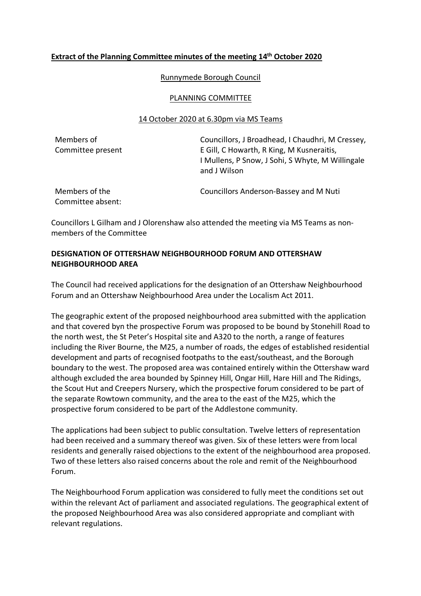## **Extract of the Planning Committee minutes of the meeting 14th October 2020**

Runnymede Borough Council

#### PLANNING COMMITTEE

### 14 October 2020 at 6.30pm via MS Teams

Members of Committee present Councillors, J Broadhead, I Chaudhri, M Cressey, E Gill, C Howarth, R King, M Kusneraitis, I Mullens, P Snow, J Sohi, S Whyte, M Willingale and J Wilson

Members of the Committee absent: Councillors Anderson-Bassey and M Nuti

Councillors L Gilham and J Olorenshaw also attended the meeting via MS Teams as nonmembers of the Committee

# **DESIGNATION OF OTTERSHAW NEIGHBOURHOOD FORUM AND OTTERSHAW NEIGHBOURHOOD AREA**

The Council had received applications for the designation of an Ottershaw Neighbourhood Forum and an Ottershaw Neighbourhood Area under the Localism Act 2011.

The geographic extent of the proposed neighbourhood area submitted with the application and that covered byn the prospective Forum was proposed to be bound by Stonehill Road to the north west, the St Peter's Hospital site and A320 to the north, a range of features including the River Bourne, the M25, a number of roads, the edges of established residential development and parts of recognised footpaths to the east/southeast, and the Borough boundary to the west. The proposed area was contained entirely within the Ottershaw ward although excluded the area bounded by Spinney Hill, Ongar Hill, Hare Hill and The Ridings, the Scout Hut and Creepers Nursery, which the prospective forum considered to be part of the separate Rowtown community, and the area to the east of the M25, which the prospective forum considered to be part of the Addlestone community.

The applications had been subject to public consultation. Twelve letters of representation had been received and a summary thereof was given. Six of these letters were from local residents and generally raised objections to the extent of the neighbourhood area proposed. Two of these letters also raised concerns about the role and remit of the Neighbourhood Forum.

The Neighbourhood Forum application was considered to fully meet the conditions set out within the relevant Act of parliament and associated regulations. The geographical extent of the proposed Neighbourhood Area was also considered appropriate and compliant with relevant regulations.